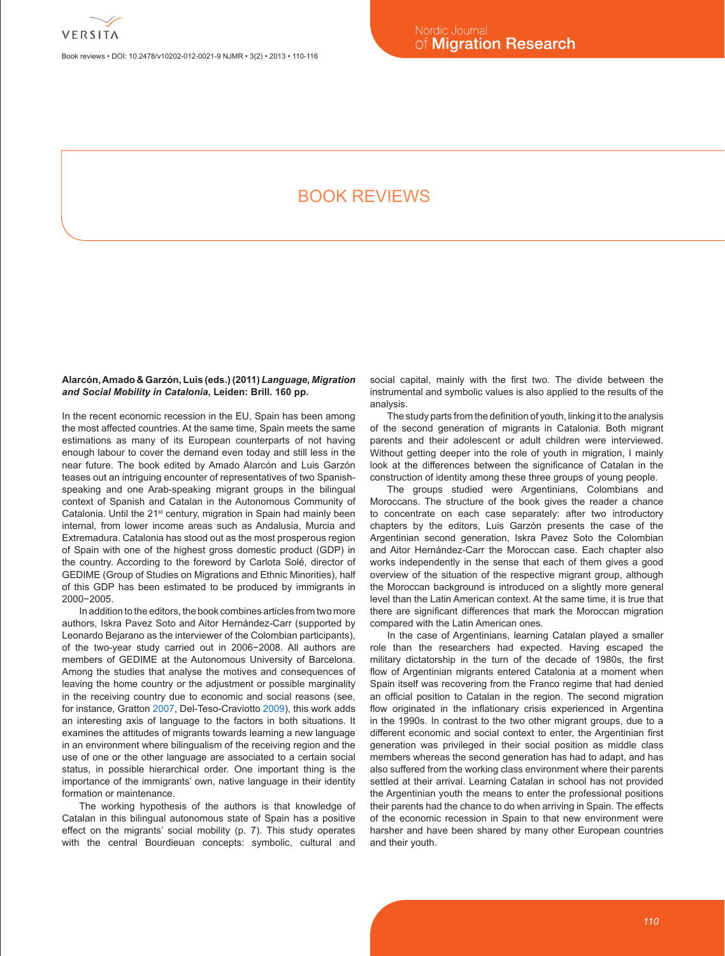

Book reviews • DOI: 10.2478/v10202-012-0021-9 NJMR • 3(2) • 2013 • 110-116

# BOOK REVIEWS

## **Alarcón, Amado & Garzón, Luis (eds.) (2011)** *Language, Migration and Social Mobility in Catalonia***, Leiden: Brill. 160 pp.**

In the recent economic recession in the EU, Spain has been among the most affected countries. At the same time, Spain meets the same estimations as many of its European counterparts of not having enough labour to cover the demand even today and still less in the near future. The book edited by Amado Alarcón and Luis Garzón teases out an intriguing encounter of representatives of two Spanishspeaking and one Arab-speaking migrant groups in the bilingual context of Spanish and Catalan in the Autonomous Community of Catalonia. Until the 21<sup>st</sup> century, migration in Spain had mainly been internal, from lower income areas such as Andalusia, Murcia and Extremadura. Catalonia has stood out as the most prosperous region of Spain with one of the highest gross domestic product (GDP) in the country. According to the foreword by Carlota Solé, director of GEDIME (Group of Studies on Migrations and Ethnic Minorities), half of this GDP has been estimated to be produced by immigrants in 2000−2005.

In addition to the editors, the book combines articles from two more authors, Iskra Pavez Soto and Aitor Hernández-Carr (supported by Leonardo Bejarano as the interviewer of the Colombian participants), of the two-year study carried out in 2006−2008. All authors are members of GEDIME at the Autonomous University of Barcelona. Among the studies that analyse the motives and consequences of leaving the home country or the adjustment or possible marginality in the receiving country due to economic and social reasons (see, for instance, Gratton 2007, Del-Teso-Craviotto 2009), this work adds an interesting axis of language to the factors in both situations. It examines the attitudes of migrants towards learning a new language in an environment where bilingualism of the receiving region and the use of one or the other language are associated to a certain social status, in possible hierarchical order. One important thing is the importance of the immigrants' own, native language in their identity formation or maintenance.

The working hypothesis of the authors is that knowledge of Catalan in this bilingual autonomous state of Spain has a positive effect on the migrants' social mobility (p. 7). This study operates with the central Bourdieuan concepts: symbolic, cultural and social capital, mainly with the first two. The divide between the instrumental and symbolic values is also applied to the results of the analysis.

The study parts from the definition of youth, linking it to the analysis of the second generation of migrants in Catalonia. Both migrant parents and their adolescent or adult children were interviewed. Without getting deeper into the role of youth in migration, I mainly look at the differences between the significance of Catalan in the construction of identity among these three groups of young people.

The groups studied were Argentinians, Colombians and Moroccans. The structure of the book gives the reader a chance to concentrate on each case separately: after two introductory chapters by the editors, Luis Garzón presents the case of the Argentinian second generation, Iskra Pavez Soto the Colombian and Aitor Hernández-Carr the Moroccan case. Each chapter also works independently in the sense that each of them gives a good overview of the situation of the respective migrant group, although the Moroccan background is introduced on a slightly more general level than the Latin American context. At the same time, it is true that there are significant differences that mark the Moroccan migration compared with the Latin American ones.

In the case of Argentinians, learning Catalan played a smaller role than the researchers had expected. Having escaped the military dictatorship in the turn of the decade of 1980s, the first flow of Argentinian migrants entered Catalonia at a moment when Spain itself was recovering from the Franco regime that had denied an official position to Catalan in the region. The second migration flow originated in the inflationary crisis experienced in Argentina in the 1990s. In contrast to the two other migrant groups, due to a different economic and social context to enter, the Argentinian first generation was privileged in their social position as middle class members whereas the second generation has had to adapt, and has also suffered from the working class environment where their parents settled at their arrival. Learning Catalan in school has not provided the Argentinian youth the means to enter the professional positions their parents had the chance to do when arriving in Spain. The effects of the economic recession in Spain to that new environment were harsher and have been shared by many other European countries and their youth.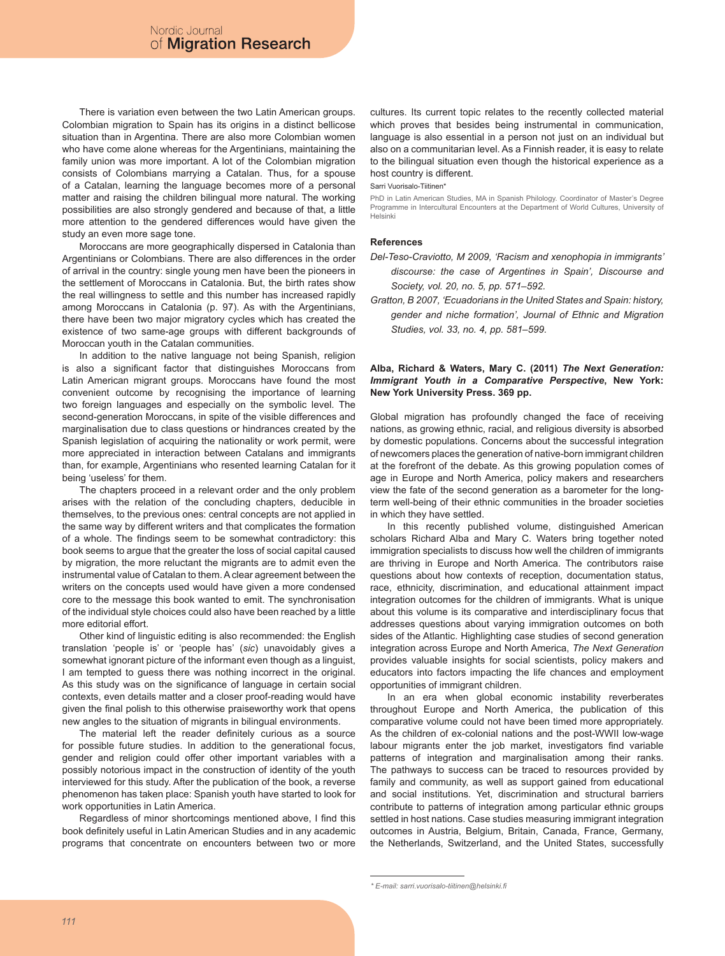There is variation even between the two Latin American groups. Colombian migration to Spain has its origins in a distinct bellicose situation than in Argentina. There are also more Colombian women who have come alone whereas for the Argentinians, maintaining the family union was more important. A lot of the Colombian migration consists of Colombians marrying a Catalan. Thus, for a spouse of a Catalan, learning the language becomes more of a personal matter and raising the children bilingual more natural. The working possibilities are also strongly gendered and because of that, a little more attention to the gendered differences would have given the study an even more sage tone.

Moroccans are more geographically dispersed in Catalonia than Argentinians or Colombians. There are also differences in the order of arrival in the country: single young men have been the pioneers in the settlement of Moroccans in Catalonia. But, the birth rates show the real willingness to settle and this number has increased rapidly among Moroccans in Catalonia (p. 97). As with the Argentinians, there have been two major migratory cycles which has created the existence of two same-age groups with different backgrounds of Moroccan youth in the Catalan communities.

In addition to the native language not being Spanish, religion is also a significant factor that distinguishes Moroccans from Latin American migrant groups. Moroccans have found the most convenient outcome by recognising the importance of learning two foreign languages and especially on the symbolic level. The second-generation Moroccans, in spite of the visible differences and marginalisation due to class questions or hindrances created by the Spanish legislation of acquiring the nationality or work permit, were more appreciated in interaction between Catalans and immigrants than, for example, Argentinians who resented learning Catalan for it being 'useless' for them.

The chapters proceed in a relevant order and the only problem arises with the relation of the concluding chapters, deducible in themselves, to the previous ones: central concepts are not applied in the same way by different writers and that complicates the formation of a whole. The findings seem to be somewhat contradictory: this book seems to argue that the greater the loss of social capital caused by migration, the more reluctant the migrants are to admit even the instrumental value of Catalan to them. A clear agreement between the writers on the concepts used would have given a more condensed core to the message this book wanted to emit. The synchronisation of the individual style choices could also have been reached by a little more editorial effort.

Other kind of linguistic editing is also recommended: the English translation 'people is' or 'people has' (*sic*) unavoidably gives a somewhat ignorant picture of the informant even though as a linguist, I am tempted to guess there was nothing incorrect in the original. As this study was on the significance of language in certain social contexts, even details matter and a closer proof-reading would have given the final polish to this otherwise praiseworthy work that opens new angles to the situation of migrants in bilingual environments.

The material left the reader definitely curious as a source for possible future studies. In addition to the generational focus, gender and religion could offer other important variables with a possibly notorious impact in the construction of identity of the youth interviewed for this study. After the publication of the book, a reverse phenomenon has taken place: Spanish youth have started to look for work opportunities in Latin America.

Regardless of minor shortcomings mentioned above, I find this book definitely useful in Latin American Studies and in any academic programs that concentrate on encounters between two or more

cultures. Its current topic relates to the recently collected material which proves that besides being instrumental in communication, language is also essential in a person not just on an individual but also on a communitarian level. As a Finnish reader, it is easy to relate to the bilingual situation even though the historical experience as a host country is different.

Sarri Vuorisalo-Tiitinen\*

PhD in Latin American Studies, MA in Spanish Philology. Coordinator of Master's Degree Programme in Intercultural Encounters at the Department of World Cultures, University of Helsinki

#### **References**

- *Del-Teso-Craviotto, M 2009, 'Racism and xenophopia in immigrants' discourse: the case of Argentines in Spain', Discourse and Society, vol. 20, no. 5, pp. 571–592.*
- *Gratton, B 2007, 'Ecuadorians in the United States and Spain: history, gender and niche formation', Journal of Ethnic and Migration Studies, vol. 33, no. 4, pp. 581–599.*

# **Alba, Richard & Waters, Mary C. (2011)** *The Next Generation: Immigrant Youth in a Comparative Perspective***, New York: New York University Press. 369 pp.**

Global migration has profoundly changed the face of receiving nations, as growing ethnic, racial, and religious diversity is absorbed by domestic populations. Concerns about the successful integration of newcomers places the generation of native-born immigrant children at the forefront of the debate. As this growing population comes of age in Europe and North America, policy makers and researchers view the fate of the second generation as a barometer for the longterm well-being of their ethnic communities in the broader societies in which they have settled.

In this recently published volume, distinguished American scholars Richard Alba and Mary C. Waters bring together noted immigration specialists to discuss how well the children of immigrants are thriving in Europe and North America. The contributors raise questions about how contexts of reception, documentation status, race, ethnicity, discrimination, and educational attainment impact integration outcomes for the children of immigrants. What is unique about this volume is its comparative and interdisciplinary focus that addresses questions about varying immigration outcomes on both sides of the Atlantic. Highlighting case studies of second generation integration across Europe and North America, *The Next Generation* provides valuable insights for social scientists, policy makers and educators into factors impacting the life chances and employment opportunities of immigrant children.

In an era when global economic instability reverberates throughout Europe and North America, the publication of this comparative volume could not have been timed more appropriately. As the children of ex-colonial nations and the post-WWII low-wage labour migrants enter the job market, investigators find variable patterns of integration and marginalisation among their ranks. The pathways to success can be traced to resources provided by family and community, as well as support gained from educational and social institutions. Yet, discrimination and structural barriers contribute to patterns of integration among particular ethnic groups settled in host nations. Case studies measuring immigrant integration outcomes in Austria, Belgium, Britain, Canada, France, Germany, the Netherlands, Switzerland, and the United States, successfully

*<sup>\*</sup> E-mail: sarri.vuorisalo-tiitinen@helsinki.fi*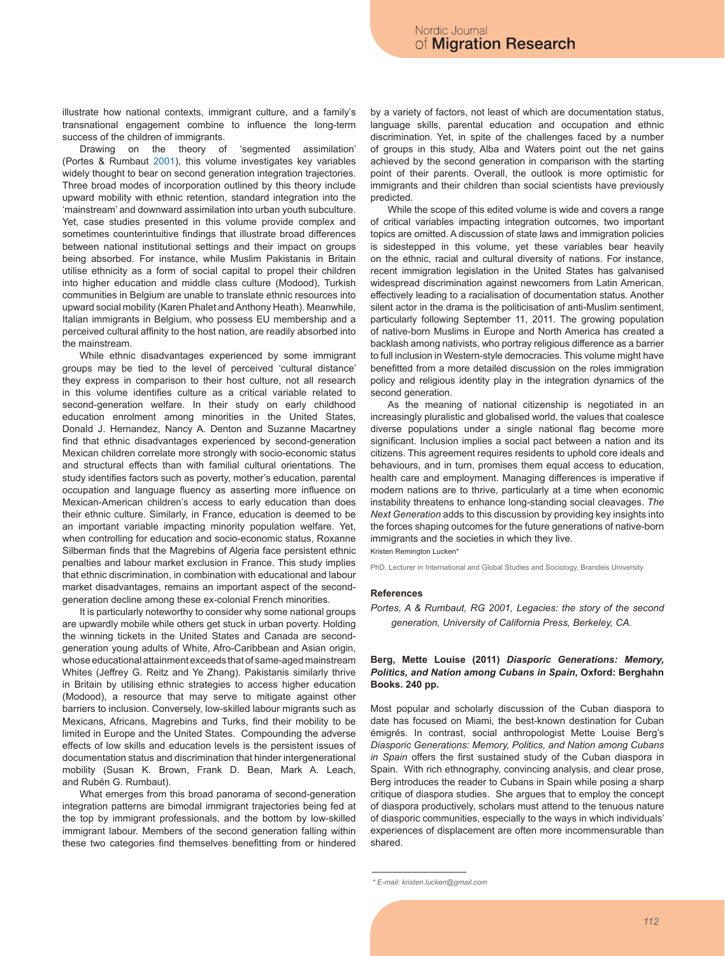illustrate how national contexts, immigrant culture, and a family's transnational engagement combine to influence the long-term success of the children of immigrants.

Drawing on the theory of 'segmented assimilation' (Portes & Rumbaut 2001), this volume investigates key variables widely thought to bear on second generation integration trajectories. Three broad modes of incorporation outlined by this theory include upward mobility with ethnic retention, standard integration into the 'mainstream' and downward assimilation into urban youth subculture. Yet, case studies presented in this volume provide complex and sometimes counterintuitive findings that illustrate broad differences between national institutional settings and their impact on groups being absorbed. For instance, while Muslim Pakistanis in Britain utilise ethnicity as a form of social capital to propel their children into higher education and middle class culture (Modood), Turkish communities in Belgium are unable to translate ethnic resources into upward social mobility (Karen Phalet and Anthony Heath). Meanwhile, Italian immigrants in Belgium, who possess EU membership and a perceived cultural affinity to the host nation, are readily absorbed into the mainstream.

While ethnic disadvantages experienced by some immigrant groups may be tied to the level of perceived 'cultural distance' they express in comparison to their host culture, not all research in this volume identifies culture as a critical variable related to second-generation welfare. In their study on early childhood education enrolment among minorities in the United States, Donald J. Hernandez, Nancy A. Denton and Suzanne Macartney find that ethnic disadvantages experienced by second-generation Mexican children correlate more strongly with socio-economic status and structural effects than with familial cultural orientations. The study identifies factors such as poverty, mother's education, parental occupation and language fluency as asserting more influence on Mexican-American children's access to early education than does their ethnic culture. Similarly, in France, education is deemed to be an important variable impacting minority population welfare. Yet, when controlling for education and socio-economic status, Roxanne Silberman finds that the Magrebins of Algeria face persistent ethnic penalties and labour market exclusion in France. This study implies that ethnic discrimination, in combination with educational and labour market disadvantages, remains an important aspect of the secondgeneration decline among these ex-colonial French minorities.

It is particularly noteworthy to consider why some national groups are upwardly mobile while others get stuck in urban poverty. Holding the winning tickets in the United States and Canada are secondgeneration young adults of White, Afro-Caribbean and Asian origin, whose educational attainment exceeds that of same-aged mainstream Whites (Jeffrey G. Reitz and Ye Zhang). Pakistanis similarly thrive in Britain by utilising ethnic strategies to access higher education (Modood), a resource that may serve to mitigate against other barriers to inclusion. Conversely, low-skilled labour migrants such as Mexicans, Africans, Magrebins and Turks, find their mobility to be limited in Europe and the United States. Compounding the adverse effects of low skills and education levels is the persistent issues of documentation status and discrimination that hinder intergenerational mobility (Susan K. Brown, Frank D. Bean, Mark A. Leach, and Rubén G. Rumbaut).

What emerges from this broad panorama of second-generation integration patterns are bimodal immigrant trajectories being fed at the top by immigrant professionals, and the bottom by low-skilled immigrant labour. Members of the second generation falling within these two categories find themselves benefitting from or hindered

by a variety of factors, not least of which are documentation status, language skills, parental education and occupation and ethnic discrimination. Yet, in spite of the challenges faced by a number of groups in this study, Alba and Waters point out the net gains achieved by the second generation in comparison with the starting point of their parents. Overall, the outlook is more optimistic for immigrants and their children than social scientists have previously predicted.

While the scope of this edited volume is wide and covers a range of critical variables impacting integration outcomes, two important topics are omitted. A discussion of state laws and immigration policies is sidestepped in this volume, yet these variables bear heavily on the ethnic, racial and cultural diversity of nations. For instance, recent immigration legislation in the United States has galvanised widespread discrimination against newcomers from Latin American, effectively leading to a racialisation of documentation status. Another silent actor in the drama is the politicisation of anti-Muslim sentiment, particularly following September 11, 2011. The growing population of native-born Muslims in Europe and North America has created a backlash among nativists, who portray religious difference as a barrier to full inclusion in Western-style democracies. This volume might have benefitted from a more detailed discussion on the roles immigration policy and religious identity play in the integration dynamics of the second generation.

As the meaning of national citizenship is negotiated in an increasingly pluralistic and globalised world, the values that coalesce diverse populations under a single national flag become more significant. Inclusion implies a social pact between a nation and its citizens. This agreement requires residents to uphold core ideals and behaviours, and in turn, promises them equal access to education, health care and employment. Managing differences is imperative if modern nations are to thrive, particularly at a time when economic instability threatens to enhance long-standing social cleavages. *The Next Generation* adds to this discussion by providing key insights into the forces shaping outcomes for the future generations of native-born immigrants and the societies in which they live.

Kristen Remington Lucken\*

PhD, Lecturer in International and Global Studies and Sociology, Brandeis University

#### **References**

*Portes, A & Rumbaut, RG 2001, Legacies: the story of the second generation, University of California Press, Berkeley, CA.*

## **Berg, Mette Louise (2011)** *Diasporic Generations: Memory, Politics, and Nation among Cubans in Spain***, Oxford: Berghahn Books. 240 pp.**

Most popular and scholarly discussion of the Cuban diaspora to date has focused on Miami, the best-known destination for Cuban émigrés. In contrast, social anthropologist Mette Louise Berg's *Diasporic Generations: Memory, Politics, and Nation among Cubans in Spain* offers the first sustained study of the Cuban diaspora in Spain. With rich ethnography, convincing analysis, and clear prose, Berg introduces the reader to Cubans in Spain while posing a sharp critique of diaspora studies. She argues that to employ the concept of diaspora productively, scholars must attend to the tenuous nature of diasporic communities, especially to the ways in which individuals' experiences of displacement are often more incommensurable than shared.

*<sup>\*</sup> E-mail: kristen.lucken@gmail.com*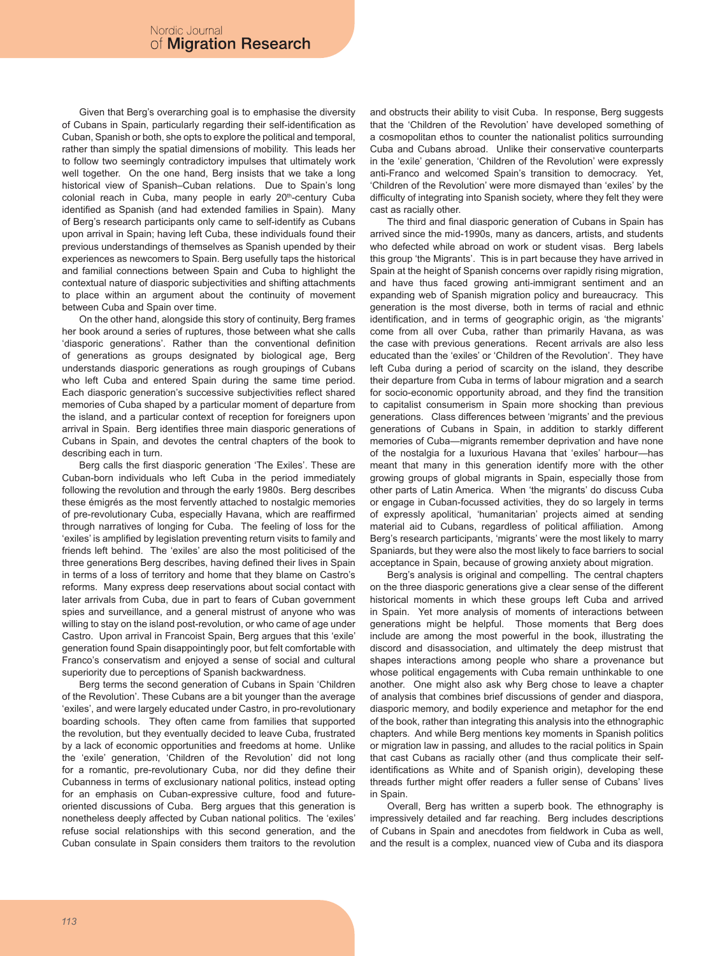Given that Berg's overarching goal is to emphasise the diversity of Cubans in Spain, particularly regarding their self-identification as Cuban, Spanish or both, she opts to explore the political and temporal, rather than simply the spatial dimensions of mobility. This leads her to follow two seemingly contradictory impulses that ultimately work well together. On the one hand, Berg insists that we take a long historical view of Spanish–Cuban relations. Due to Spain's long colonial reach in Cuba, many people in early 20<sup>th</sup>-century Cuba identified as Spanish (and had extended families in Spain). Many of Berg's research participants only came to self-identify as Cubans upon arrival in Spain; having left Cuba, these individuals found their previous understandings of themselves as Spanish upended by their experiences as newcomers to Spain. Berg usefully taps the historical and familial connections between Spain and Cuba to highlight the contextual nature of diasporic subjectivities and shifting attachments to place within an argument about the continuity of movement between Cuba and Spain over time.

On the other hand, alongside this story of continuity, Berg frames her book around a series of ruptures, those between what she calls 'diasporic generations'. Rather than the conventional definition of generations as groups designated by biological age, Berg understands diasporic generations as rough groupings of Cubans who left Cuba and entered Spain during the same time period. Each diasporic generation's successive subjectivities reflect shared memories of Cuba shaped by a particular moment of departure from the island, and a particular context of reception for foreigners upon arrival in Spain. Berg identifies three main diasporic generations of Cubans in Spain, and devotes the central chapters of the book to describing each in turn.

Berg calls the first diasporic generation 'The Exiles'. These are Cuban-born individuals who left Cuba in the period immediately following the revolution and through the early 1980s. Berg describes these émigrés as the most fervently attached to nostalgic memories of pre-revolutionary Cuba, especially Havana, which are reaffirmed through narratives of longing for Cuba. The feeling of loss for the 'exiles' is amplified by legislation preventing return visits to family and friends left behind. The 'exiles' are also the most politicised of the three generations Berg describes, having defined their lives in Spain in terms of a loss of territory and home that they blame on Castro's reforms. Many express deep reservations about social contact with later arrivals from Cuba, due in part to fears of Cuban government spies and surveillance, and a general mistrust of anyone who was willing to stay on the island post-revolution, or who came of age under Castro. Upon arrival in Francoist Spain, Berg argues that this 'exile' generation found Spain disappointingly poor, but felt comfortable with Franco's conservatism and enjoyed a sense of social and cultural superiority due to perceptions of Spanish backwardness.

Berg terms the second generation of Cubans in Spain 'Children of the Revolution'. These Cubans are a bit younger than the average 'exiles', and were largely educated under Castro, in pro-revolutionary boarding schools. They often came from families that supported the revolution, but they eventually decided to leave Cuba, frustrated by a lack of economic opportunities and freedoms at home. Unlike the 'exile' generation, 'Children of the Revolution' did not long for a romantic, pre-revolutionary Cuba, nor did they define their Cubanness in terms of exclusionary national politics, instead opting for an emphasis on Cuban-expressive culture, food and futureoriented discussions of Cuba. Berg argues that this generation is nonetheless deeply affected by Cuban national politics. The 'exiles' refuse social relationships with this second generation, and the Cuban consulate in Spain considers them traitors to the revolution and obstructs their ability to visit Cuba. In response, Berg suggests that the 'Children of the Revolution' have developed something of a cosmopolitan ethos to counter the nationalist politics surrounding Cuba and Cubans abroad. Unlike their conservative counterparts in the 'exile' generation, 'Children of the Revolution' were expressly anti-Franco and welcomed Spain's transition to democracy. Yet, 'Children of the Revolution' were more dismayed than 'exiles' by the difficulty of integrating into Spanish society, where they felt they were cast as racially other.

The third and final diasporic generation of Cubans in Spain has arrived since the mid-1990s, many as dancers, artists, and students who defected while abroad on work or student visas. Berg labels this group 'the Migrants'. This is in part because they have arrived in Spain at the height of Spanish concerns over rapidly rising migration, and have thus faced growing anti-immigrant sentiment and an expanding web of Spanish migration policy and bureaucracy. This generation is the most diverse, both in terms of racial and ethnic identification, and in terms of geographic origin, as 'the migrants' come from all over Cuba, rather than primarily Havana, as was the case with previous generations. Recent arrivals are also less educated than the 'exiles' or 'Children of the Revolution'. They have left Cuba during a period of scarcity on the island, they describe their departure from Cuba in terms of labour migration and a search for socio-economic opportunity abroad, and they find the transition to capitalist consumerism in Spain more shocking than previous generations. Class differences between 'migrants' and the previous generations of Cubans in Spain, in addition to starkly different memories of Cuba—migrants remember deprivation and have none of the nostalgia for a luxurious Havana that 'exiles' harbour—has meant that many in this generation identify more with the other growing groups of global migrants in Spain, especially those from other parts of Latin America. When 'the migrants' do discuss Cuba or engage in Cuban-focussed activities, they do so largely in terms of expressly apolitical, 'humanitarian' projects aimed at sending material aid to Cubans, regardless of political affiliation. Among Berg's research participants, 'migrants' were the most likely to marry Spaniards, but they were also the most likely to face barriers to social acceptance in Spain, because of growing anxiety about migration.

Berg's analysis is original and compelling. The central chapters on the three diasporic generations give a clear sense of the different historical moments in which these groups left Cuba and arrived in Spain. Yet more analysis of moments of interactions between generations might be helpful. Those moments that Berg does include are among the most powerful in the book, illustrating the discord and disassociation, and ultimately the deep mistrust that shapes interactions among people who share a provenance but whose political engagements with Cuba remain unthinkable to one another. One might also ask why Berg chose to leave a chapter of analysis that combines brief discussions of gender and diaspora, diasporic memory, and bodily experience and metaphor for the end of the book, rather than integrating this analysis into the ethnographic chapters. And while Berg mentions key moments in Spanish politics or migration law in passing, and alludes to the racial politics in Spain that cast Cubans as racially other (and thus complicate their selfidentifications as White and of Spanish origin), developing these threads further might offer readers a fuller sense of Cubans' lives in Spain.

Overall, Berg has written a superb book. The ethnography is impressively detailed and far reaching. Berg includes descriptions of Cubans in Spain and anecdotes from fieldwork in Cuba as well, and the result is a complex, nuanced view of Cuba and its diaspora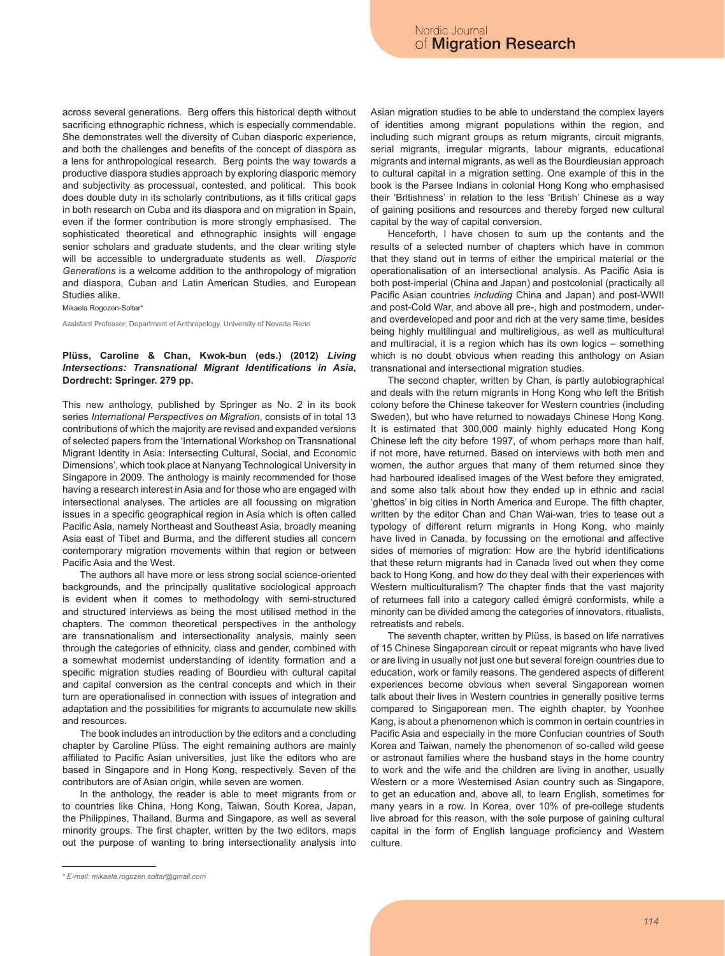across several generations. Berg offers this historical depth without sacrificing ethnographic richness, which is especially commendable. She demonstrates well the diversity of Cuban diasporic experience, and both the challenges and benefits of the concept of diaspora as a lens for anthropological research. Berg points the way towards a productive diaspora studies approach by exploring diasporic memory and subjectivity as processual, contested, and political. This book does double duty in its scholarly contributions, as it fills critical gaps in both research on Cuba and its diaspora and on migration in Spain, even if the former contribution is more strongly emphasised. The sophisticated theoretical and ethnographic insights will engage senior scholars and graduate students, and the clear writing style will be accessible to undergraduate students as well. *Diasporic Generations* is a welcome addition to the anthropology of migration and diaspora, Cuban and Latin American Studies, and European Studies alike.

Mikaela Rogozen-Soltar\*

Assistant Professor, Department of Anthropology, University of Nevada Reno

# **Plüss, Caroline & Chan, Kwok-bun (eds.) (2012)** *Living Intersections: Transnational Migrant Identifications in Asia***, Dordrecht: Springer. 279 pp.**

This new anthology, published by Springer as No. 2 in its book series *International Perspectives on Migration*, consists of in total 13 contributions of which the majority are revised and expanded versions of selected papers from the 'International Workshop on Transnational Migrant Identity in Asia: Intersecting Cultural, Social, and Economic Dimensions', which took place at Nanyang Technological University in Singapore in 2009. The anthology is mainly recommended for those having a research interest in Asia and for those who are engaged with intersectional analyses. The articles are all focussing on migration issues in a specific geographical region in Asia which is often called Pacific Asia, namely Northeast and Southeast Asia, broadly meaning Asia east of Tibet and Burma, and the different studies all concern contemporary migration movements within that region or between Pacific Asia and the West.

The authors all have more or less strong social science-oriented backgrounds, and the principally qualitative sociological approach is evident when it comes to methodology with semi-structured and structured interviews as being the most utilised method in the chapters. The common theoretical perspectives in the anthology are transnationalism and intersectionality analysis, mainly seen through the categories of ethnicity, class and gender, combined with a somewhat modernist understanding of identity formation and a specific migration studies reading of Bourdieu with cultural capital and capital conversion as the central concepts and which in their turn are operationalised in connection with issues of integration and adaptation and the possibilities for migrants to accumulate new skills and resources.

The book includes an introduction by the editors and a concluding chapter by Caroline Plüss. The eight remaining authors are mainly affiliated to Pacific Asian universities, just like the editors who are based in Singapore and in Hong Kong, respectively. Seven of the contributors are of Asian origin, while seven are women.

In the anthology, the reader is able to meet migrants from or to countries like China, Hong Kong, Taiwan, South Korea, Japan, the Philippines, Thailand, Burma and Singapore, as well as several minority groups. The first chapter, written by the two editors, maps out the purpose of wanting to bring intersectionality analysis into Asian migration studies to be able to understand the complex layers of identities among migrant populations within the region, and including such migrant groups as return migrants, circuit migrants, serial migrants, irregular migrants, labour migrants, educational migrants and internal migrants, as well as the Bourdieusian approach to cultural capital in a migration setting. One example of this in the book is the Parsee Indians in colonial Hong Kong who emphasised their 'Britishness' in relation to the less 'British' Chinese as a way of gaining positions and resources and thereby forged new cultural capital by the way of capital conversion.

Henceforth, I have chosen to sum up the contents and the results of a selected number of chapters which have in common that they stand out in terms of either the empirical material or the operationalisation of an intersectional analysis. As Pacific Asia is both post-imperial (China and Japan) and postcolonial (practically all Pacific Asian countries *including* China and Japan) and post-WWII and post-Cold War, and above all pre-, high and postmodern, underand overdeveloped and poor and rich at the very same time, besides being highly multilingual and multireligious, as well as multicultural and multiracial, it is a region which has its own logics – something which is no doubt obvious when reading this anthology on Asian transnational and intersectional migration studies.

The second chapter, written by Chan, is partly autobiographical and deals with the return migrants in Hong Kong who left the British colony before the Chinese takeover for Western countries (including Sweden), but who have returned to nowadays Chinese Hong Kong. It is estimated that 300,000 mainly highly educated Hong Kong Chinese left the city before 1997, of whom perhaps more than half, if not more, have returned. Based on interviews with both men and women, the author argues that many of them returned since they had harboured idealised images of the West before they emigrated, and some also talk about how they ended up in ethnic and racial 'ghettos' in big cities in North America and Europe. The fifth chapter, written by the editor Chan and Chan Wai-wan, tries to tease out a typology of different return migrants in Hong Kong, who mainly have lived in Canada, by focussing on the emotional and affective sides of memories of migration: How are the hybrid identifications that these return migrants had in Canada lived out when they come back to Hong Kong, and how do they deal with their experiences with Western multiculturalism? The chapter finds that the vast majority of returnees fall into a category called émigré conformists, while a minority can be divided among the categories of innovators, ritualists, retreatists and rebels.

The seventh chapter, written by Plüss, is based on life narratives of 15 Chinese Singaporean circuit or repeat migrants who have lived or are living in usually not just one but several foreign countries due to education, work or family reasons. The gendered aspects of different experiences become obvious when several Singaporean women talk about their lives in Western countries in generally positive terms compared to Singaporean men. The eighth chapter, by Yoonhee Kang, is about a phenomenon which is common in certain countries in Pacific Asia and especially in the more Confucian countries of South Korea and Taiwan, namely the phenomenon of so-called wild geese or astronaut families where the husband stays in the home country to work and the wife and the children are living in another, usually Western or a more Westernised Asian country such as Singapore, to get an education and, above all, to learn English, sometimes for many years in a row. In Korea, over 10% of pre-college students live abroad for this reason, with the sole purpose of gaining cultural capital in the form of English language proficiency and Western culture.

*<sup>\*</sup> E-mail: mikaela.rogozen.soltar@gmail.com*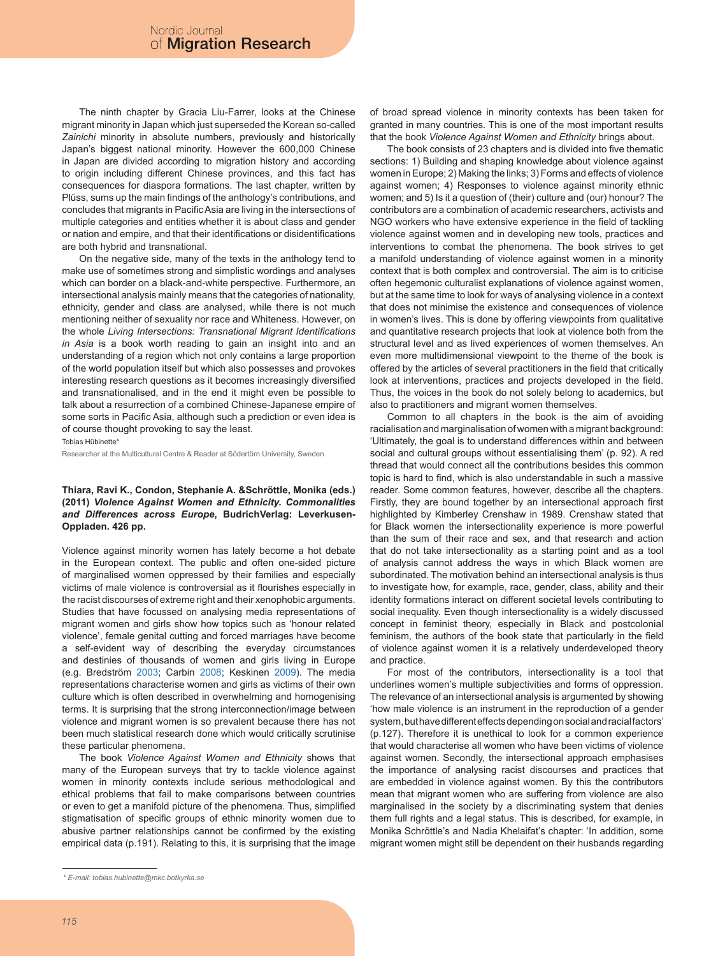The ninth chapter by Gracia Liu-Farrer, looks at the Chinese migrant minority in Japan which just superseded the Korean so-called *Zainichi* minority in absolute numbers, previously and historically Japan's biggest national minority. However the 600,000 Chinese in Japan are divided according to migration history and according to origin including different Chinese provinces, and this fact has consequences for diaspora formations. The last chapter, written by Plüss, sums up the main findings of the anthology's contributions, and concludes that migrants in Pacific Asia are living in the intersections of multiple categories and entities whether it is about class and gender or nation and empire, and that their identifications or disidentifications are both hybrid and transnational.

On the negative side, many of the texts in the anthology tend to make use of sometimes strong and simplistic wordings and analyses which can border on a black-and-white perspective. Furthermore, an intersectional analysis mainly means that the categories of nationality, ethnicity, gender and class are analysed, while there is not much mentioning neither of sexuality nor race and Whiteness. However, on the whole *Living Intersections: Transnational Migrant Identifications in Asia* is a book worth reading to gain an insight into and an understanding of a region which not only contains a large proportion of the world population itself but which also possesses and provokes interesting research questions as it becomes increasingly diversified and transnationalised, and in the end it might even be possible to talk about a resurrection of a combined Chinese-Japanese empire of some sorts in Pacific Asia, although such a prediction or even idea is of course thought provoking to say the least.

Tobias Hübinette\*

Researcher at the Multicultural Centre & Reader at Södertörn University, Sweden

## **Thiara, Ravi K., Condon, Stephanie A. &Schröttle, Monika (eds.) (2011)** *Violence Against Women and Ethnicity. Commonalities and Differences across Europe***, BudrichVerlag: Leverkusen-Oppladen. 426 pp.**

Violence against minority women has lately become a hot debate in the European context. The public and often one-sided picture of marginalised women oppressed by their families and especially victims of male violence is controversial as it flourishes especially in the racist discourses of extreme right and their xenophobic arguments. Studies that have focussed on analysing media representations of migrant women and girls show how topics such as 'honour related violence', female genital cutting and forced marriages have become a self-evident way of describing the everyday circumstances and destinies of thousands of women and girls living in Europe (e.g. Bredström 2003; Carbin 2008; Keskinen 2009). The media representations characterise women and girls as victims of their own culture which is often described in overwhelming and homogenising terms. It is surprising that the strong interconnection/image between violence and migrant women is so prevalent because there has not been much statistical research done which would critically scrutinise these particular phenomena.

The book *Violence Against Women and Ethnicity* shows that many of the European surveys that try to tackle violence against women in minority contexts include serious methodological and ethical problems that fail to make comparisons between countries or even to get a manifold picture of the phenomena. Thus, simplified stigmatisation of specific groups of ethnic minority women due to abusive partner relationships cannot be confirmed by the existing empirical data (p.191). Relating to this, it is surprising that the image of broad spread violence in minority contexts has been taken for granted in many countries. This is one of the most important results that the book *Violence Against Women and Ethnicity* brings about.

The book consists of 23 chapters and is divided into five thematic sections: 1) Building and shaping knowledge about violence against women in Europe; 2) Making the links; 3) Forms and effects of violence against women; 4) Responses to violence against minority ethnic women; and 5) Is it a question of (their) culture and (our) honour? The contributors are a combination of academic researchers, activists and NGO workers who have extensive experience in the field of tackling violence against women and in developing new tools, practices and interventions to combat the phenomena. The book strives to get a manifold understanding of violence against women in a minority context that is both complex and controversial. The aim is to criticise often hegemonic culturalist explanations of violence against women, but at the same time to look for ways of analysing violence in a context that does not minimise the existence and consequences of violence in women's lives. This is done by offering viewpoints from qualitative and quantitative research projects that look at violence both from the structural level and as lived experiences of women themselves. An even more multidimensional viewpoint to the theme of the book is offered by the articles of several practitioners in the field that critically look at interventions, practices and projects developed in the field. Thus, the voices in the book do not solely belong to academics, but also to practitioners and migrant women themselves.

Common to all chapters in the book is the aim of avoiding racialisation and marginalisation of women with a migrant background: 'Ultimately, the goal is to understand differences within and between social and cultural groups without essentialising them' (p. 92). A red thread that would connect all the contributions besides this common topic is hard to find, which is also understandable in such a massive reader. Some common features, however, describe all the chapters. Firstly, they are bound together by an intersectional approach first highlighted by Kimberley Crenshaw in 1989. Crenshaw stated that for Black women the intersectionality experience is more powerful than the sum of their race and sex, and that research and action that do not take intersectionality as a starting point and as a tool of analysis cannot address the ways in which Black women are subordinated. The motivation behind an intersectional analysis is thus to investigate how, for example, race, gender, class, ability and their identity formations interact on different societal levels contributing to social inequality. Even though intersectionality is a widely discussed concept in feminist theory, especially in Black and postcolonial feminism, the authors of the book state that particularly in the field of violence against women it is a relatively underdeveloped theory and practice.

For most of the contributors, intersectionality is a tool that underlines women's multiple subjectivities and forms of oppression. The relevance of an intersectional analysis is argumented by showing 'how male violence is an instrument in the reproduction of a gender system, but have different effects depending on social and racial factors' (p.127). Therefore it is unethical to look for a common experience that would characterise all women who have been victims of violence against women. Secondly, the intersectional approach emphasises the importance of analysing racist discourses and practices that are embedded in violence against women. By this the contributors mean that migrant women who are suffering from violence are also marginalised in the society by a discriminating system that denies them full rights and a legal status. This is described, for example, in Monika Schröttle's and Nadia Khelaifat's chapter: 'In addition, some migrant women might still be dependent on their husbands regarding

*<sup>\*</sup> E-mail: tobias.hubinette@mkc.botkyrka.se*